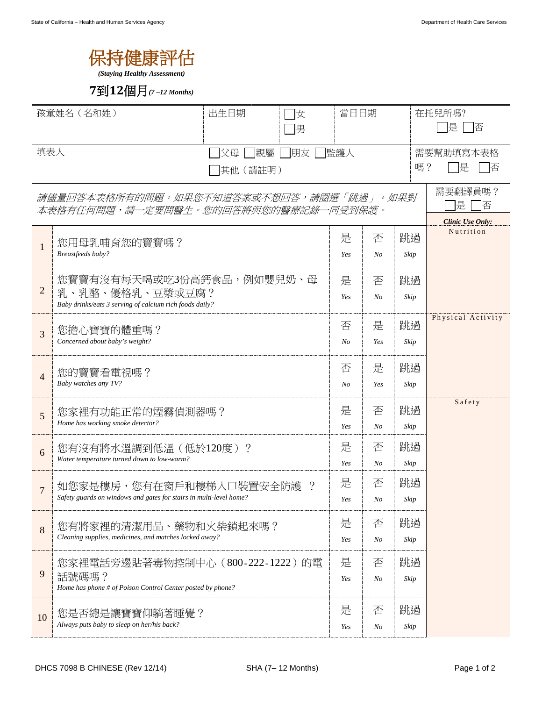## 保持健康評估

*(Staying Healthy Assessment)*

## **7**到**12**個月*(7 –12 Months)*

| 孩童姓名 (名和姓)                                                                      |                                                                                                            | 出生日期 | 女<br>〕男   |                     | 當日日期                |                     | 在托兒所嗎?<br>是<br>- 佰                           |  |
|---------------------------------------------------------------------------------|------------------------------------------------------------------------------------------------------------|------|-----------|---------------------|---------------------|---------------------|----------------------------------------------|--|
| 填表人<br> 親屬 <br> 朋友<br>父母<br>其他 (請註明)                                            |                                                                                                            |      | 監護人<br>嗎? |                     |                     | 需要幫助填寫本表格<br>是<br>俖 |                                              |  |
| 請儘量回答本表格所有的問題。如果您不知道答案或不想回答,請圈選「跳過」。如果對<br>本表格有任何問題,請一定要問醫生。您的回答將與您的醫療記錄一同受到保護。 |                                                                                                            |      |           |                     |                     |                     | 需要翻譯員嗎?<br>提<br>否<br><b>Clinic Use Only:</b> |  |
| $\mathbf{1}$                                                                    | 您用母乳哺育您的寶寶嗎?<br>Breastfeeds baby?                                                                          |      |           | 是<br>Yes            | 否<br>$N_{O}$        | 跳過<br>Skip          | Nutrition                                    |  |
| $\overline{2}$                                                                  | 您寶寶有沒有每天喝或吃3份高鈣食品,例如嬰兒奶、母<br>乳、乳酪、優格乳、豆漿或豆腐?<br>Baby drinks/eats 3 serving of calcium rich foods daily?    |      |           |                     | 否<br>N <sub>O</sub> | 跳過<br>Skip          |                                              |  |
| 3                                                                               | 您擔心寶寶的體重嗎?<br>Concerned about baby's weight?                                                               |      |           | 否<br>N <sub>O</sub> | 是<br>Yes            | 跳過<br>Skip          | Physical Activity                            |  |
| $\overline{4}$                                                                  | 您的寶寶看電視嗎?<br>Baby watches any TV?                                                                          |      |           | 否<br>N <sub>O</sub> | 是<br>Yes            | 跳過<br>Skip          |                                              |  |
| 5                                                                               | 您家裡有功能正常的煙霧偵測器嗎?<br>Home has working smoke detector?                                                       |      |           | 是<br>Yes            | 否<br>$N_{O}$        | 跳過<br>Skip          | Safety                                       |  |
| 6                                                                               | 您有沒有將水溫調到低溫(低於120度)?<br>Water temperature turned down to low-warm?                                         |      |           | 是<br>Yes            | 否<br>$N_{O}$        | 跳過<br>Skip          |                                              |  |
| $\overline{7}$                                                                  | 如您家是樓房,您有在窗戶和樓梯入口裝置安全防護<br>$\cdot$ ?<br>Safety guards on windows and gates for stairs in multi-level home? |      |           | 是<br>Yes            | 否<br>No             | 跳過<br>Skip          |                                              |  |
| 8                                                                               | 您有將家裡的清潔用品、藥物和火柴鎖起來嗎?<br>Cleaning supplies, medicines, and matches locked away?                            |      |           |                     | 否<br>No             | 跳過<br>Skip          |                                              |  |
| 9                                                                               | 您家裡電話旁邊貼著毒物控制中心(800-222-1222)的電<br>話號碼嗎?<br>Home has phone # of Poison Control Center posted by phone?     |      |           | 是<br>Yes            | 否<br>No             | 跳過<br>Skip          |                                              |  |
| 10                                                                              | 您是否總是讓寶寶仰躺著睡覺?<br>Always puts baby to sleep on her/his back?                                               |      |           |                     | 否<br>No             | 跳過<br>Skip          |                                              |  |